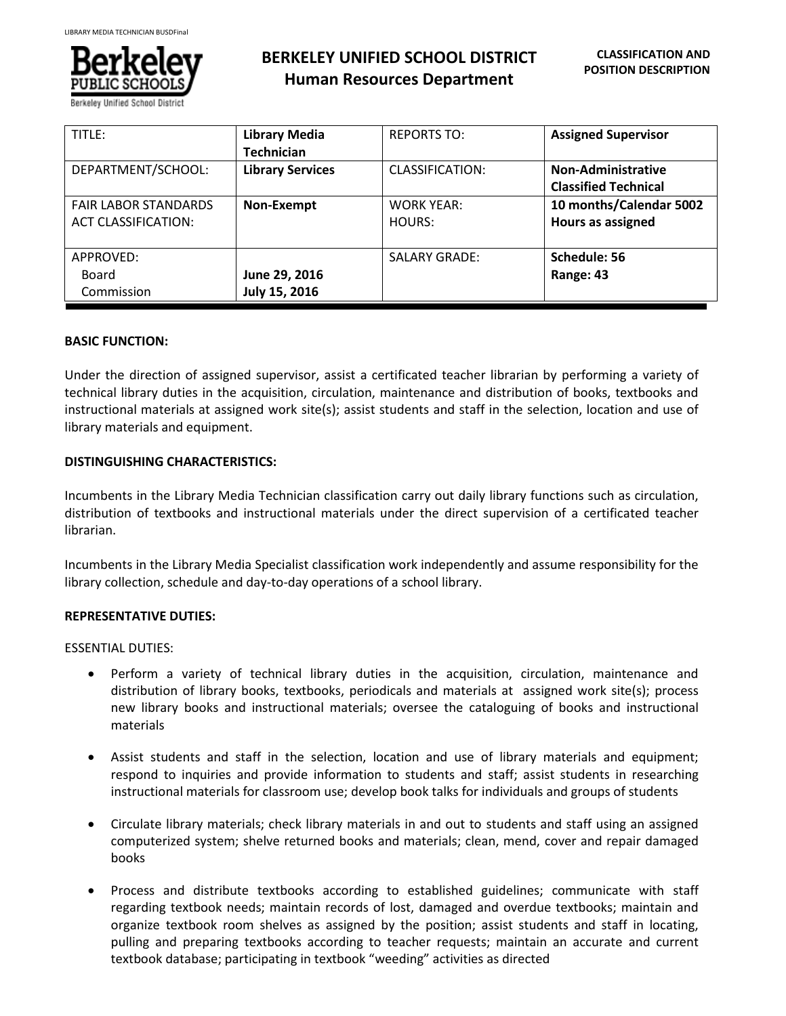

**BERKELEY UNIFIED SCHOOL DISTRICT Human Resources Department**

| TITLE:                                             | <b>Library Media</b><br><b>Technician</b> | <b>REPORTS TO:</b>          | <b>Assigned Supervisor</b>                               |
|----------------------------------------------------|-------------------------------------------|-----------------------------|----------------------------------------------------------|
| DEPARTMENT/SCHOOL:                                 | <b>Library Services</b>                   | CLASSIFICATION:             | <b>Non-Administrative</b><br><b>Classified Technical</b> |
| <b>FAIR LABOR STANDARDS</b><br>ACT CLASSIFICATION: | Non-Exempt                                | <b>WORK YEAR:</b><br>HOURS: | 10 months/Calendar 5002<br>Hours as assigned             |
| APPROVED:<br>Board<br>Commission                   | June 29, 2016<br>July 15, 2016            | <b>SALARY GRADE:</b>        | Schedule: 56<br>Range: 43                                |

# **BASIC FUNCTION:**

Under the direction of assigned supervisor, assist a certificated teacher librarian by performing a variety of technical library duties in the acquisition, circulation, maintenance and distribution of books, textbooks and instructional materials at assigned work site(s); assist students and staff in the selection, location and use of library materials and equipment.

# **DISTINGUISHING CHARACTERISTICS:**

Incumbents in the Library Media Technician classification carry out daily library functions such as circulation, distribution of textbooks and instructional materials under the direct supervision of a certificated teacher librarian.

Incumbents in the Library Media Specialist classification work independently and assume responsibility for the library collection, schedule and day-to-day operations of a school library.

# **REPRESENTATIVE DUTIES:**

ESSENTIAL DUTIES:

- Perform a variety of technical library duties in the acquisition, circulation, maintenance and distribution of library books, textbooks, periodicals and materials at assigned work site(s); process new library books and instructional materials; oversee the cataloguing of books and instructional materials
- Assist students and staff in the selection, location and use of library materials and equipment; respond to inquiries and provide information to students and staff; assist students in researching instructional materials for classroom use; develop book talks for individuals and groups of students
- Circulate library materials; check library materials in and out to students and staff using an assigned computerized system; shelve returned books and materials; clean, mend, cover and repair damaged books
- Process and distribute textbooks according to established guidelines; communicate with staff regarding textbook needs; maintain records of lost, damaged and overdue textbooks; maintain and organize textbook room shelves as assigned by the position; assist students and staff in locating, pulling and preparing textbooks according to teacher requests; maintain an accurate and current textbook database; participating in textbook "weeding" activities as directed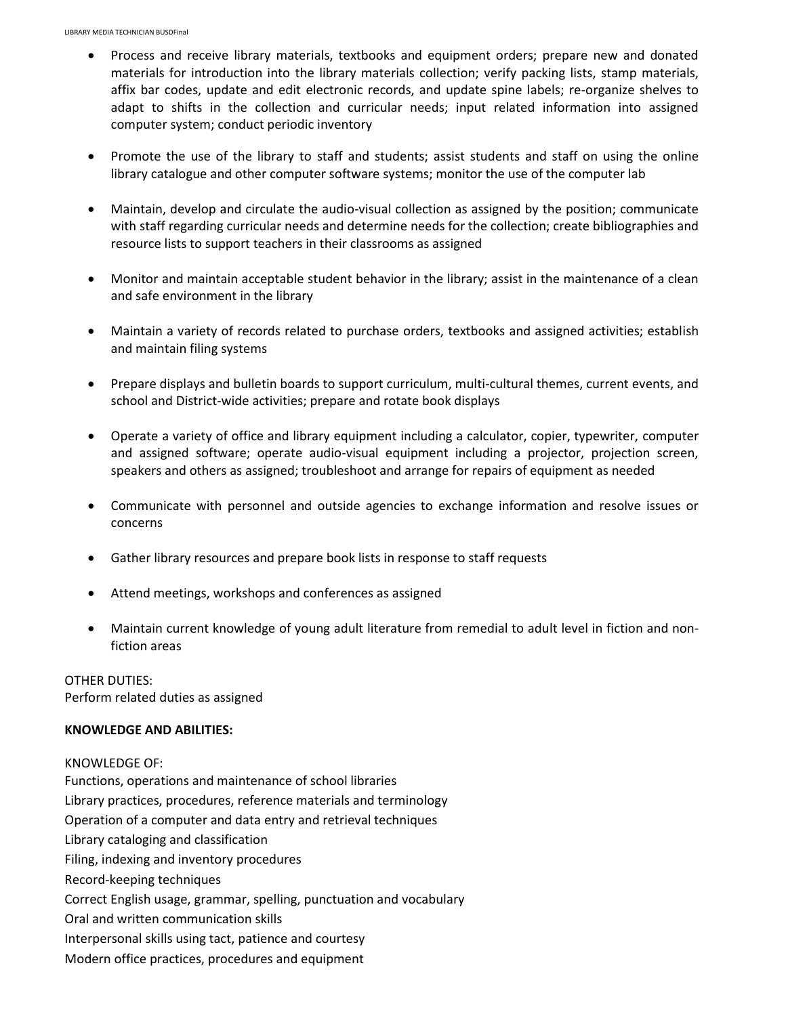- Process and receive library materials, textbooks and equipment orders; prepare new and donated materials for introduction into the library materials collection; verify packing lists, stamp materials, affix bar codes, update and edit electronic records, and update spine labels; re-organize shelves to adapt to shifts in the collection and curricular needs; input related information into assigned computer system; conduct periodic inventory
- Promote the use of the library to staff and students; assist students and staff on using the online library catalogue and other computer software systems; monitor the use of the computer lab
- Maintain, develop and circulate the audio-visual collection as assigned by the position; communicate with staff regarding curricular needs and determine needs for the collection; create bibliographies and resource lists to support teachers in their classrooms as assigned
- Monitor and maintain acceptable student behavior in the library; assist in the maintenance of a clean and safe environment in the library
- Maintain a variety of records related to purchase orders, textbooks and assigned activities; establish and maintain filing systems
- Prepare displays and bulletin boards to support curriculum, multi-cultural themes, current events, and school and District-wide activities; prepare and rotate book displays
- Operate a variety of office and library equipment including a calculator, copier, typewriter, computer and assigned software; operate audio-visual equipment including a projector, projection screen, speakers and others as assigned; troubleshoot and arrange for repairs of equipment as needed
- Communicate with personnel and outside agencies to exchange information and resolve issues or concerns
- Gather library resources and prepare book lists in response to staff requests
- Attend meetings, workshops and conferences as assigned
- Maintain current knowledge of young adult literature from remedial to adult level in fiction and nonfiction areas

OTHER DUTIES: Perform related duties as assigned

# **KNOWLEDGE AND ABILITIES:**

KNOWLEDGE OF: Functions, operations and maintenance of school libraries Library practices, procedures, reference materials and terminology Operation of a computer and data entry and retrieval techniques Library cataloging and classification Filing, indexing and inventory procedures Record-keeping techniques Correct English usage, grammar, spelling, punctuation and vocabulary Oral and written communication skills Interpersonal skills using tact, patience and courtesy Modern office practices, procedures and equipment